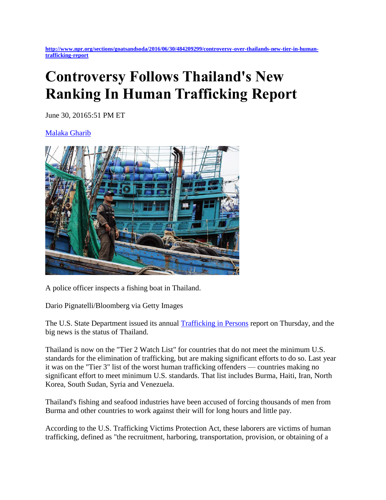**[http://www.npr.org/sections/goatsandsoda/2016/06/30/484209299/controversy-over-thailands-new-tier-in-human](http://www.npr.org/sections/goatsandsoda/2016/06/30/484209299/controversy-over-thailands-new-tier-in-human-trafficking-report)[trafficking-report](http://www.npr.org/sections/goatsandsoda/2016/06/30/484209299/controversy-over-thailands-new-tier-in-human-trafficking-report)**

## **Controversy Follows Thailand's New Ranking In Human Trafficking Report**

June 30, 20165:51 PM ET

[Malaka Gharib](http://www.npr.org/people/469106148/malaka-gharib) 



A police officer inspects a fishing boat in Thailand.

Dario Pignatelli/Bloomberg via Getty Images

The U.S. State Department issued its annual [Trafficking in Persons](http://www.state.gov/j/tip/rls/tiprpt/) report on Thursday, and the big news is the status of Thailand.

Thailand is now on the "Tier 2 Watch List" for countries that do not meet the minimum U.S. standards for the elimination of trafficking, but are making significant efforts to do so. Last year it was on the "Tier 3" list of the worst human trafficking offenders — countries making no significant effort to meet minimum U.S. standards. That list includes Burma, Haiti, Iran, North Korea, South Sudan, Syria and Venezuela.

Thailand's fishing and seafood industries have been accused of forcing thousands of men from Burma and other countries to work against their will for long hours and little pay.

According to the U.S. Trafficking Victims Protection Act, these laborers are victims of human trafficking, defined as "the recruitment, harboring, transportation, provision, or obtaining of a